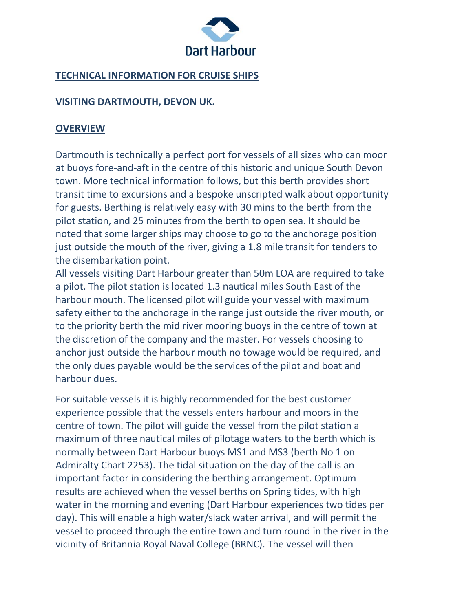

# **VISITING DARTMOUTH, DEVON UK.**

## **OVERVIEW**

Dartmouth is technically a perfect port for vessels of all sizes who can moor at buoys fore-and-aft in the centre of this historic and unique South Devon town. More technical information follows, but this berth provides short transit time to excursions and a bespoke unscripted walk about opportunity for guests. Berthing is relatively easy with 30 mins to the berth from the pilot station, and 25 minutes from the berth to open sea. It should be noted that some larger ships may choose to go to the anchorage position just outside the mouth of the river, giving a 1.8 mile transit for tenders to the disembarkation point.

All vessels visiting Dart Harbour greater than 50m LOA are required to take a pilot. The pilot station is located 1.3 nautical miles South East of the harbour mouth. The licensed pilot will guide your vessel with maximum safety either to the anchorage in the range just outside the river mouth, or to the priority berth the mid river mooring buoys in the centre of town at the discretion of the company and the master. For vessels choosing to anchor just outside the harbour mouth no towage would be required, and the only dues payable would be the services of the pilot and boat and harbour dues.

For suitable vessels it is highly recommended for the best customer experience possible that the vessels enters harbour and moors in the centre of town. The pilot will guide the vessel from the pilot station a maximum of three nautical miles of pilotage waters to the berth which is normally between Dart Harbour buoys MS1 and MS3 (berth No 1 on Admiralty Chart 2253). The tidal situation on the day of the call is an important factor in considering the berthing arrangement. Optimum results are achieved when the vessel berths on Spring tides, with high water in the morning and evening (Dart Harbour experiences two tides per day). This will enable a high water/slack water arrival, and will permit the vessel to proceed through the entire town and turn round in the river in the vicinity of Britannia Royal Naval College (BRNC). The vessel will then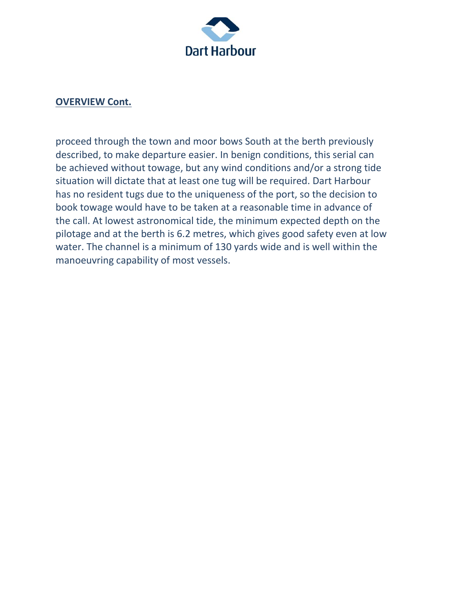

#### **OVERVIEW Cont.**

proceed through the town and moor bows South at the berth previously described, to make departure easier. In benign conditions, this serial can be achieved without towage, but any wind conditions and/or a strong tide situation will dictate that at least one tug will be required. Dart Harbour has no resident tugs due to the uniqueness of the port, so the decision to book towage would have to be taken at a reasonable time in advance of the call. At lowest astronomical tide, the minimum expected depth on the pilotage and at the berth is 6.2 metres, which gives good safety even at low water. The channel is a minimum of 130 yards wide and is well within the manoeuvring capability of most vessels.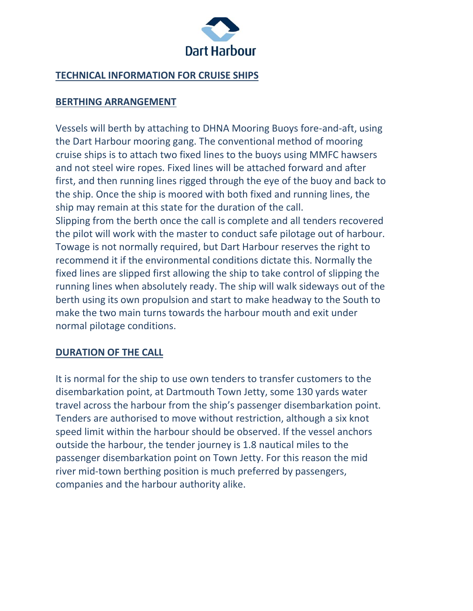

#### **BERTHING ARRANGEMENT**

Vessels will berth by attaching to DHNA Mooring Buoys fore-and-aft, using the Dart Harbour mooring gang. The conventional method of mooring cruise ships is to attach two fixed lines to the buoys using MMFC hawsers and not steel wire ropes. Fixed lines will be attached forward and after first, and then running lines rigged through the eye of the buoy and back to the ship. Once the ship is moored with both fixed and running lines, the ship may remain at this state for the duration of the call. Slipping from the berth once the call is complete and all tenders recovered the pilot will work with the master to conduct safe pilotage out of harbour. Towage is not normally required, but Dart Harbour reserves the right to recommend it if the environmental conditions dictate this. Normally the fixed lines are slipped first allowing the ship to take control of slipping the running lines when absolutely ready. The ship will walk sideways out of the berth using its own propulsion and start to make headway to the South to make the two main turns towards the harbour mouth and exit under normal pilotage conditions.

## **DURATION OF THE CALL**

It is normal for the ship to use own tenders to transfer customers to the disembarkation point, at Dartmouth Town Jetty, some 130 yards water travel across the harbour from the ship's passenger disembarkation point. Tenders are authorised to move without restriction, although a six knot speed limit within the harbour should be observed. If the vessel anchors outside the harbour, the tender journey is 1.8 nautical miles to the passenger disembarkation point on Town Jetty. For this reason the mid river mid-town berthing position is much preferred by passengers, companies and the harbour authority alike.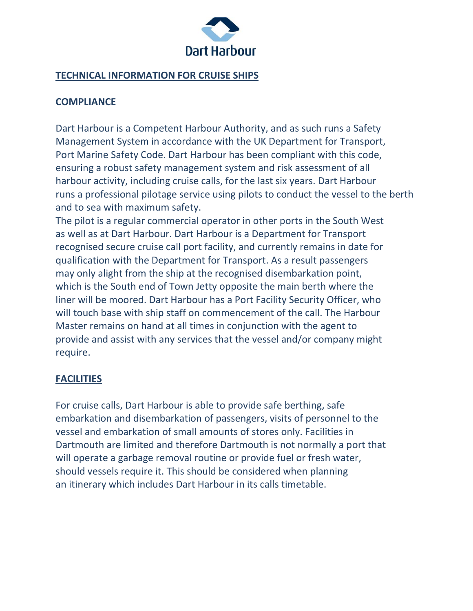

## **COMPLIANCE**

Dart Harbour is a Competent Harbour Authority, and as such runs a Safety Management System in accordance with the UK Department for Transport, Port Marine Safety Code. Dart Harbour has been compliant with this code, ensuring a robust safety management system and risk assessment of all harbour activity, including cruise calls, for the last six years. Dart Harbour runs a professional pilotage service using pilots to conduct the vessel to the berth and to sea with maximum safety.

The pilot is a regular commercial operator in other ports in the South West as well as at Dart Harbour. Dart Harbour is a Department for Transport recognised secure cruise call port facility, and currently remains in date for qualification with the Department for Transport. As a result passengers may only alight from the ship at the recognised disembarkation point, which is the South end of Town Jetty opposite the main berth where the liner will be moored. Dart Harbour has a Port Facility Security Officer, who will touch base with ship staff on commencement of the call. The Harbour Master remains on hand at all times in conjunction with the agent to provide and assist with any services that the vessel and/or company might require.

## **FACILITIES**

For cruise calls, Dart Harbour is able to provide safe berthing, safe embarkation and disembarkation of passengers, visits of personnel to the vessel and embarkation of small amounts of stores only. Facilities in Dartmouth are limited and therefore Dartmouth is not normally a port that will operate a garbage removal routine or provide fuel or fresh water, should vessels require it. This should be considered when planning an itinerary which includes Dart Harbour in its calls timetable.